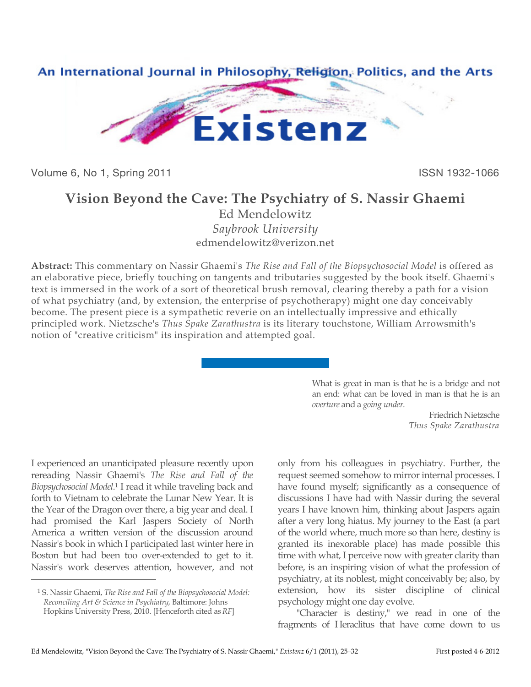

Volume 6, No 1, Spring 2011 **ISSN 1932-1066** 

# **Vision Beyond the Cave: The Psychiatry of S. Nassir Ghaemi**

Ed Mendelowitz *Saybrook University* edmendelowitz@verizon.net

**Abstract:** This commentary on Nassir Ghaemi's *The Rise and Fall of the Biopsychosocial Model* is offered as an elaborative piece, briefly touching on tangents and tributaries suggested by the book itself. Ghaemi's text is immersed in the work of a sort of theoretical brush removal, clearing thereby a path for a vision of what psychiatry (and, by extension, the enterprise of psychotherapy) might one day conceivably become. The present piece is a sympathetic reverie on an intellectually impressive and ethically principled work. Nietzsche's *Thus Spake Zarathustra* is its literary touchstone, William Arrowsmith's notion of "creative criticism" its inspiration and attempted goal.

> What is great in man is that he is a bridge and not an end: what can be loved in man is that he is an *overture* and a *going under*.

> > Friedrich Nietzsche *Thus Spake Zarathustra*

I experienced an unanticipated pleasure recently upon rereading Nassir Ghaemi's *The Rise and Fall of the Biopsychosocial Model*. 1 I read it while traveling back and forth to Vietnam to celebrate the Lunar New Year. It is the Year of the Dragon over there, a big year and deal. I had promised the Karl Jaspers Society of North America a written version of the discussion around Nassir's book in which I participated last winter here in Boston but had been too over-extended to get to it. Nassir's work deserves attention, however, and not

 $\overline{a}$ 

only from his colleagues in psychiatry. Further, the request seemed somehow to mirror internal processes. I have found myself; significantly as a consequence of discussions I have had with Nassir during the several years I have known him, thinking about Jaspers again after a very long hiatus. My journey to the East (a part of the world where, much more so than here, destiny is granted its inexorable place) has made possible this time with what, I perceive now with greater clarity than before, is an inspiring vision of what the profession of psychiatry, at its noblest, might conceivably be; also, by extension, how its sister discipline of clinical psychology might one day evolve.

"Character is destiny," we read in one of the fragments of Heraclitus that have come down to us

<sup>1</sup> S. Nassir Ghaemi, *The Rise and Fall of the Biopsychosocial Model: Reconciling Art & Science in Psychiatry*, Baltimore: Johns Hopkins University Press, 2010. [Henceforth cited as *RF*]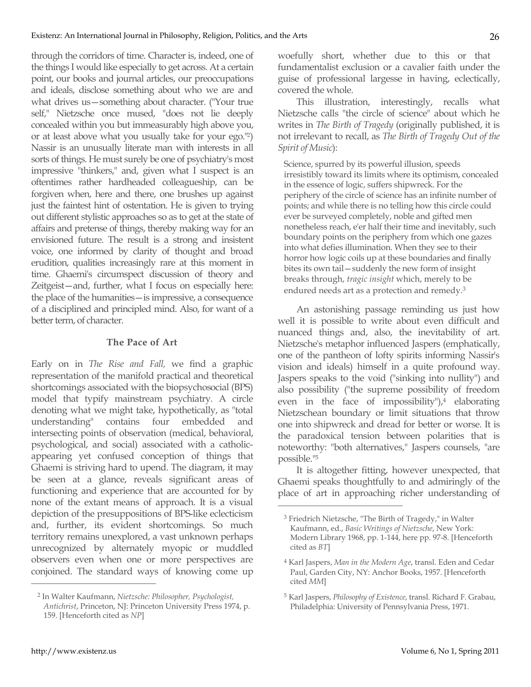through the corridors of time. Character is, indeed, one of the things I would like especially to get across. At a certain point, our books and journal articles, our preoccupations and ideals, disclose something about who we are and what drives us—something about character. ("Your true self," Nietzsche once mused, "does not lie deeply concealed within you but immeasurably high above you, or at least above what you usually take for your ego."2) Nassir is an unusually literate man with interests in all sorts of things. He must surely be one of psychiatry's most impressive "thinkers," and, given what I suspect is an oftentimes rather hardheaded colleagueship, can be forgiven when, here and there, one brushes up against just the faintest hint of ostentation. He is given to trying out different stylistic approaches so as to get at the state of affairs and pretense of things, thereby making way for an envisioned future. The result is a strong and insistent voice, one informed by clarity of thought and broad erudition, qualities increasingly rare at this moment in time. Ghaemi's circumspect discussion of theory and Zeitgeist—and, further, what I focus on especially here: the place of the humanities—is impressive, a consequence of a disciplined and principled mind. Also, for want of a better term, of character.

## **The Pace of Art**

Early on in *The Rise and Fall,* we find a graphic representation of the manifold practical and theoretical shortcomings associated with the biopsychosocial (BPS) model that typify mainstream psychiatry. A circle denoting what we might take, hypothetically, as "total understanding" contains four embedded and intersecting points of observation (medical, behavioral, psychological, and social) associated with a catholicappearing yet confused conception of things that Ghaemi is striving hard to upend. The diagram, it may be seen at a glance, reveals significant areas of functioning and experience that are accounted for by none of the extant means of approach. It is a visual depiction of the presuppositions of BPS-like eclecticism and, further, its evident shortcomings. So much territory remains unexplored, a vast unknown perhaps unrecognized by alternately myopic or muddled observers even when one or more perspectives are conjoined. The standard ways of knowing come up  $\overline{a}$ 

woefully short, whether due to this or that fundamentalist exclusion or a cavalier faith under the guise of professional largesse in having, eclectically, covered the whole.

This illustration, interestingly, recalls what Nietzsche calls "the circle of science" about which he writes in *The Birth of Tragedy* (originally published, it is not irrelevant to recall, as *The Birth of Tragedy Out of the Spirit of Music*):

Science, spurred by its powerful illusion, speeds irresistibly toward its limits where its optimism, concealed in the essence of logic, suffers shipwreck. For the periphery of the circle of science has an infinite number of points; and while there is no telling how this circle could ever be surveyed completely, noble and gifted men nonetheless reach, e'er half their time and inevitably, such boundary points on the periphery from which one gazes into what defies illumination. When they see to their horror how logic coils up at these boundaries and finally bites its own tail—suddenly the new form of insight breaks through, *tragic insight* which, merely to be endured needs art as a protection and remedy.3

An astonishing passage reminding us just how well it is possible to write about even difficult and nuanced things and, also, the inevitability of art. Nietzsche's metaphor influenced Jaspers (emphatically, one of the pantheon of lofty spirits informing Nassir's vision and ideals) himself in a quite profound way. Jaspers speaks to the void ("sinking into nullity") and also possibility ("the supreme possibility of freedom even in the face of impossibility"), $4$  elaborating Nietzschean boundary or limit situations that throw one into shipwreck and dread for better or worse. It is the paradoxical tension between polarities that is noteworthy: "both alternatives," Jaspers counsels, "are possible."5

It is altogether fitting, however unexpected, that Ghaemi speaks thoughtfully to and admiringly of the place of art in approaching richer understanding of

<sup>2</sup> In Walter Kaufmann, *Nietzsche: Philosopher, Psychologist, Antichrist*, Princeton, NJ: Princeton University Press 1974, p. 159. [Henceforth cited as *NP*]

<sup>3</sup> Friedrich Nietzsche, "The Birth of Tragedy," in Walter Kaufmann, ed., *Basic Writings of Nietzsche*, New York: Modern Library 1968, pp. 1-144, here pp. 97-8. [Henceforth cited as *BT*]

<sup>4</sup> Karl Jaspers, *Man in the Modern Age*, transl. Eden and Cedar Paul, Garden City, NY: Anchor Books, 1957. [Henceforth cited *MM*]

<sup>5</sup> Karl Jaspers, *Philosophy of Existence*, transl. Richard F. Grabau, Philadelphia: University of Pennsylvania Press, 1971.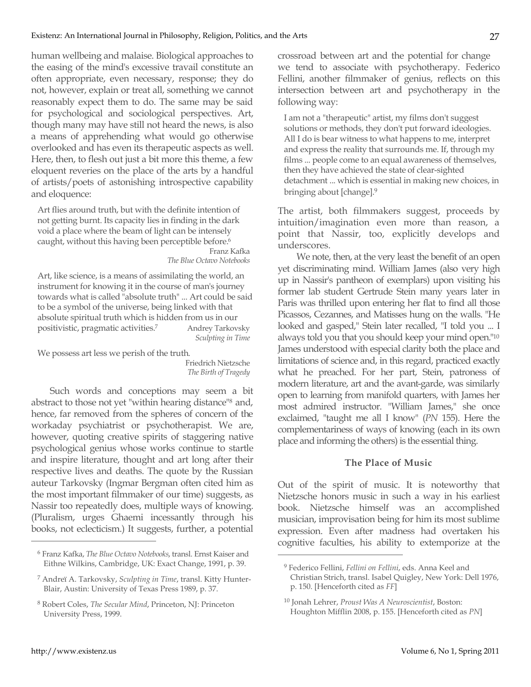human wellbeing and malaise. Biological approaches to the easing of the mind's excessive travail constitute an often appropriate, even necessary, response; they do not, however, explain or treat all, something we cannot reasonably expect them to do. The same may be said for psychological and sociological perspectives. Art, though many may have still not heard the news, is also a means of apprehending what would go otherwise overlooked and has even its therapeutic aspects as well. Here, then, to flesh out just a bit more this theme, a few eloquent reveries on the place of the arts by a handful of artists/poets of astonishing introspective capability and eloquence:

Art flies around truth, but with the definite intention of not getting burnt. Its capacity lies in finding in the dark void a place where the beam of light can be intensely caught, without this having been perceptible before.<sup>6</sup> Franz Kafka

*The Blue Octavo Notebooks*

Art, like science, is a means of assimilating the world, an instrument for knowing it in the course of man's journey towards what is called "absolute truth" ... Art could be said to be a symbol of the universe, being linked with that absolute spiritual truth which is hidden from us in our positivistic, pragmatic activities.<sup>7</sup> Andrey Tarkovsky *Sculpting in Time*

We possess art less we perish of the truth.

Friedrich Nietzsche *The Birth of Tragedy*

 $\overline{a}$ 

Such words and conceptions may seem a bit abstract to those not yet "within hearing distance"8 and, hence, far removed from the spheres of concern of the workaday psychiatrist or psychotherapist. We are, however, quoting creative spirits of staggering native psychological genius whose works continue to startle and inspire literature, thought and art long after their respective lives and deaths. The quote by the Russian auteur Tarkovsky (Ingmar Bergman often cited him as the most important filmmaker of our time) suggests, as Nassir too repeatedly does, multiple ways of knowing. (Pluralism, urges Ghaemi incessantly through his books, not eclecticism.) It suggests, further, a potential

crossroad between art and the potential for change we tend to associate with psychotherapy. Federico Fellini, another filmmaker of genius, reflects on this intersection between art and psychotherapy in the following way:

I am not a "therapeutic" artist, my films don't suggest solutions or methods, they don't put forward ideologies. All I do is bear witness to what happens to me, interpret and express the reality that surrounds me. If, through my films ... people come to an equal awareness of themselves, then they have achieved the state of clear-sighted detachment ... which is essential in making new choices, in bringing about [change].9

The artist, both filmmakers suggest, proceeds by intuition/imagination even more than reason, a point that Nassir, too, explicitly develops and underscores.

We note, then, at the very least the benefit of an open yet discriminating mind. William James (also very high up in Nassir's pantheon of exemplars) upon visiting his former lab student Gertrude Stein many years later in Paris was thrilled upon entering her flat to find all those Picassos, Cezannes, and Matisses hung on the walls. "He looked and gasped," Stein later recalled, "I told you ... I always told you that you should keep your mind open."10 James understood with especial clarity both the place and limitations of science and, in this regard, practiced exactly what he preached. For her part, Stein, patroness of modern literature, art and the avant-garde, was similarly open to learning from manifold quarters, with James her most admired instructor. "William James," she once exclaimed, "taught me all I know" (*PN* 155). Here the complementariness of ways of knowing (each in its own place and informing the others) is the essential thing.

## **The Place of Music**

Out of the spirit of music. It is noteworthy that Nietzsche honors music in such a way in his earliest book. Nietzsche himself was an accomplished musician, improvisation being for him its most sublime expression. Even after madness had overtaken his cognitive faculties, his ability to extemporize at the

<sup>6</sup> Franz Kafka, *The Blue Octavo Notebooks*, transl. Ernst Kaiser and Eithne Wilkins, Cambridge, UK: Exact Change, 1991, p. 39.

<sup>7</sup> Andreï A. Tarkovsky, *Sculpting in Time*, transl. Kitty Hunter-Blair, Austin: University of Texas Press 1989, p. 37.

<sup>8</sup> Robert Coles, *The Secular Mind*, Princeton, NJ: Princeton University Press, 1999.

<sup>9</sup> Federico Fellini, *Fellini on Fellini*, eds. Anna Keel and Christian Strich, transl. Isabel Quigley, New York: Dell 1976, p. 150. [Henceforth cited as *FF*]

<sup>10</sup> Jonah Lehrer, *Proust Was A Neuroscientist*, Boston: Houghton Mifflin 2008, p. 155. [Henceforth cited as *PN*]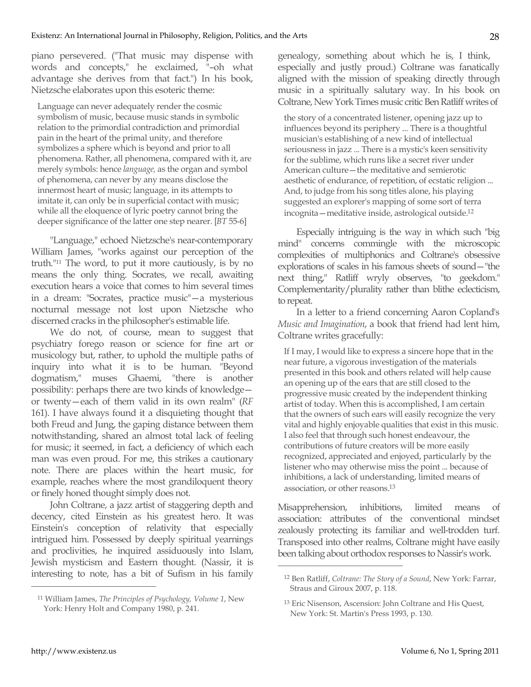piano persevered. ("That music may dispense with words and concepts," he exclaimed, "–oh what advantage she derives from that fact.") In his book, Nietzsche elaborates upon this esoteric theme:

Language can never adequately render the cosmic symbolism of music, because music stands in symbolic relation to the primordial contradiction and primordial pain in the heart of the primal unity, and therefore symbolizes a sphere which is beyond and prior to all phenomena. Rather, all phenomena, compared with it, are merely symbols: hence *language,* as the organ and symbol of phenomena, can never by any means disclose the innermost heart of music; language, in its attempts to imitate it, can only be in superficial contact with music; while all the eloquence of lyric poetry cannot bring the deeper significance of the latter one step nearer. [*BT* 55-6]

"Language," echoed Nietzsche's near-contemporary William James, "works against our perception of the truth."11 The word, to put it more cautiously, is by no means the only thing. Socrates, we recall, awaiting execution hears a voice that comes to him several times in a dream: "Socrates, practice music"—a mysterious nocturnal message not lost upon Nietzsche who discerned cracks in the philosopher's estimable life.

We do not, of course, mean to suggest that psychiatry forego reason or science for fine art or musicology but, rather, to uphold the multiple paths of inquiry into what it is to be human. "Beyond dogmatism," muses Ghaemi, "there is another possibility: perhaps there are two kinds of knowledge or twenty—each of them valid in its own realm" (*RF* 161). I have always found it a disquieting thought that both Freud and Jung, the gaping distance between them notwithstanding, shared an almost total lack of feeling for music; it seemed, in fact, a deficiency of which each man was even proud. For me, this strikes a cautionary note. There are places within the heart music, for example, reaches where the most grandiloquent theory or finely honed thought simply does not.

John Coltrane, a jazz artist of staggering depth and decency, cited Einstein as his greatest hero. It was Einstein's conception of relativity that especially intrigued him. Possessed by deeply spiritual yearnings and proclivities, he inquired assiduously into Islam, Jewish mysticism and Eastern thought. (Nassir, it is interesting to note, has a bit of Sufism in his family genealogy, something about which he is, I think, especially and justly proud.) Coltrane was fanatically aligned with the mission of speaking directly through music in a spiritually salutary way. In his book on Coltrane, New York Times music critic Ben Ratliff writes of

the story of a concentrated listener, opening jazz up to influences beyond its periphery ... There is a thoughtful musician's establishing of a new kind of intellectual seriousness in jazz ... There is a mystic's keen sensitivity for the sublime, which runs like a secret river under American culture—the meditative and semierotic aesthetic of endurance, of repetition, of ecstatic religion ... And, to judge from his song titles alone, his playing suggested an explorer's mapping of some sort of terra incognita—meditative inside, astrological outside.12

Especially intriguing is the way in which such "big mind" concerns commingle with the microscopic complexities of multiphonics and Coltrane's obsessive explorations of scales in his famous sheets of sound—"the next thing," Ratliff wryly observes, "to geekdom." Complementarity/plurality rather than blithe eclecticism, to repeat.

In a letter to a friend concerning Aaron Copland's *Music and Imagination*, a book that friend had lent him, Coltrane writes gracefully:

If I may, I would like to express a sincere hope that in the near future, a vigorous investigation of the materials presented in this book and others related will help cause an opening up of the ears that are still closed to the progressive music created by the independent thinking artist of today. When this is accomplished, I am certain that the owners of such ears will easily recognize the very vital and highly enjoyable qualities that exist in this music. I also feel that through such honest endeavour, the contributions of future creators will be more easily recognized, appreciated and enjoyed, particularly by the listener who may otherwise miss the point ... because of inhibitions, a lack of understanding, limited means of association, or other reasons.13

Misapprehension, inhibitions, limited means of association: attributes of the conventional mindset zealously protecting its familiar and well-trodden turf. Transposed into other realms, Coltrane might have easily been talking about orthodox responses to Nassir's work.

 $\overline{a}$ 

<sup>11</sup> William James, *The Principles of Psychology, Volume 1*, New York: Henry Holt and Company 1980, p. 241.

<sup>12</sup> Ben Ratliff, *Coltrane: The Story of a Sound*, New York: Farrar, Straus and Giroux 2007, p. 118.

<sup>13</sup> Eric Nisenson, Ascension: John Coltrane and His Quest, New York: St. Martin's Press 1993, p. 130.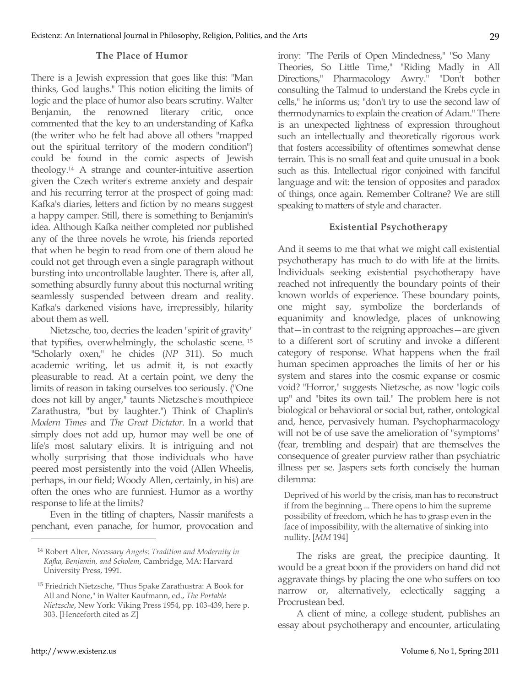#### **The Place of Humor**

There is a Jewish expression that goes like this: "Man thinks, God laughs." This notion eliciting the limits of logic and the place of humor also bears scrutiny. Walter Benjamin, the renowned literary critic, once commented that the key to an understanding of Kafka (the writer who he felt had above all others "mapped out the spiritual territory of the modern condition") could be found in the comic aspects of Jewish theology.14 A strange and counter-intuitive assertion given the Czech writer's extreme anxiety and despair and his recurring terror at the prospect of going mad: Kafka's diaries, letters and fiction by no means suggest a happy camper. Still, there is something to Benjamin's idea. Although Kafka neither completed nor published any of the three novels he wrote, his friends reported that when he begin to read from one of them aloud he could not get through even a single paragraph without bursting into uncontrollable laughter. There is, after all, something absurdly funny about this nocturnal writing seamlessly suspended between dream and reality. Kafka's darkened visions have, irrepressibly, hilarity about them as well.

Nietzsche, too, decries the leaden "spirit of gravity" that typifies, overwhelmingly, the scholastic scene. <sup>15</sup> "Scholarly oxen," he chides (*NP* 311). So much academic writing, let us admit it, is not exactly pleasurable to read. At a certain point, we deny the limits of reason in taking ourselves too seriously. ("One does not kill by anger," taunts Nietzsche's mouthpiece Zarathustra, "but by laughter.") Think of Chaplin's *Modern Times* and *The Great Dictator.* In a world that simply does not add up, humor may well be one of life's most salutary elixirs. It is intriguing and not wholly surprising that those individuals who have peered most persistently into the void (Allen Wheelis, perhaps, in our field; Woody Allen, certainly, in his) are often the ones who are funniest. Humor as a worthy response to life at the limits?

Even in the titling of chapters, Nassir manifests a penchant, even panache, for humor, provocation and irony: "The Perils of Open Mindedness," "So Many Theories, So Little Time," "Riding Madly in All Directions," Pharmacology Awry." "Don't bother consulting the Talmud to understand the Krebs cycle in cells," he informs us; "don't try to use the second law of thermodynamics to explain the creation of Adam." There is an unexpected lightness of expression throughout such an intellectually and theoretically rigorous work that fosters accessibility of oftentimes somewhat dense terrain. This is no small feat and quite unusual in a book such as this. Intellectual rigor conjoined with fanciful language and wit: the tension of opposites and paradox of things, once again. Remember Coltrane? We are still speaking to matters of style and character.

### **Existential Psychotherapy**

And it seems to me that what we might call existential psychotherapy has much to do with life at the limits. Individuals seeking existential psychotherapy have reached not infrequently the boundary points of their known worlds of experience. These boundary points, one might say, symbolize the borderlands of equanimity and knowledge, places of unknowing that—in contrast to the reigning approaches—are given to a different sort of scrutiny and invoke a different category of response. What happens when the frail human specimen approaches the limits of her or his system and stares into the cosmic expanse or cosmic void? "Horror," suggests Nietzsche, as now "logic coils up" and "bites its own tail." The problem here is not biological or behavioral or social but, rather, ontological and, hence, pervasively human. Psychopharmacology will not be of use save the amelioration of "symptoms" (fear, trembling and despair) that are themselves the consequence of greater purview rather than psychiatric illness per se. Jaspers sets forth concisely the human dilemma:

Deprived of his world by the crisis, man has to reconstruct if from the beginning ... There opens to him the supreme possibility of freedom, which he has to grasp even in the face of impossibility, with the alternative of sinking into nullity. [*MM* 194]

The risks are great, the precipice daunting. It would be a great boon if the providers on hand did not aggravate things by placing the one who suffers on too narrow or, alternatively, eclectically sagging a Procrustean bed.

A client of mine, a college student, publishes an essay about psychotherapy and encounter, articulating

<sup>14</sup> Robert Alter, *Necessary Angels: Tradition and Modernity in Kafka, Benjamin, and Scholem*, Cambridge, MA: Harvard University Press, 1991.

<sup>15</sup> Friedrich Nietzsche, "Thus Spake Zarathustra: A Book for All and None," in Walter Kaufmann, ed., *The Portable Nietzsche*, New York: Viking Press 1954, pp. 103-439, here p. 303. [Henceforth cited as *Z*]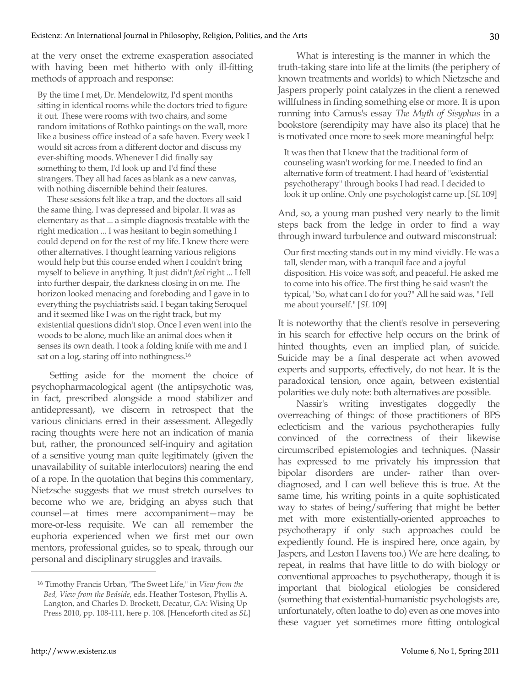at the very onset the extreme exasperation associated with having been met hitherto with only ill-fitting methods of approach and response:

By the time I met, Dr. Mendelowitz, I'd spent months sitting in identical rooms while the doctors tried to figure it out. These were rooms with two chairs, and some random imitations of Rothko paintings on the wall, more like a business office instead of a safe haven. Every week I would sit across from a different doctor and discuss my ever-shifting moods. Whenever I did finally say something to them, I'd look up and I'd find these strangers. They all had faces as blank as a new canvas, with nothing discernible behind their features.

These sessions felt like a trap, and the doctors all said the same thing. I was depressed and bipolar. It was as elementary as that ... a simple diagnosis treatable with the right medication ... I was hesitant to begin something I could depend on for the rest of my life. I knew there were other alternatives. I thought learning various religions would help but this course ended when I couldn't bring myself to believe in anything. It just didn't *feel* right ... I fell into further despair, the darkness closing in on me. The horizon looked menacing and foreboding and I gave in to everything the psychiatrists said. I began taking Seroquel and it seemed like I was on the right track, but my existential questions didn't stop. Once I even went into the woods to be alone, much like an animal does when it senses its own death. I took a folding knife with me and I sat on a log, staring off into nothingness.<sup>16</sup>

Setting aside for the moment the choice of psychopharmacological agent (the antipsychotic was, in fact, prescribed alongside a mood stabilizer and antidepressant), we discern in retrospect that the various clinicians erred in their assessment. Allegedly racing thoughts were here not an indication of mania but, rather, the pronounced self-inquiry and agitation of a sensitive young man quite legitimately (given the unavailability of suitable interlocutors) nearing the end of a rope. In the quotation that begins this commentary, Nietzsche suggests that we must stretch ourselves to become who we are, bridging an abyss such that counsel—at times mere accompaniment—may be more-or-less requisite. We can all remember the euphoria experienced when we first met our own mentors, professional guides, so to speak, through our personal and disciplinary struggles and travails.

What is interesting is the manner in which the truth-taking stare into life at the limits (the periphery of known treatments and worlds) to which Nietzsche and Jaspers properly point catalyzes in the client a renewed willfulness in finding something else or more. It is upon running into Camus's essay *The Myth of Sisyphus* in a bookstore (serendipity may have also its place) that he is motivated once more to seek more meaningful help:

It was then that I knew that the traditional form of counseling wasn't working for me. I needed to find an alternative form of treatment. I had heard of "existential psychotherapy" through books I had read. I decided to look it up online. Only one psychologist came up. [*SL* 109]

And, so, a young man pushed very nearly to the limit steps back from the ledge in order to find a way through inward turbulence and outward misconstrual:

Our first meeting stands out in my mind vividly. He was a tall, slender man, with a tranquil face and a joyful disposition. His voice was soft, and peaceful. He asked me to come into his office. The first thing he said wasn't the typical, "So, what can I do for you?" All he said was, "Tell me about yourself." [*SL* 109]

It is noteworthy that the client's resolve in persevering in his search for effective help occurs on the brink of hinted thoughts, even an implied plan, of suicide. Suicide may be a final desperate act when avowed experts and supports, effectively, do not hear. It is the paradoxical tension, once again, between existential polarities we duly note: both alternatives are possible.

Nassir's writing investigates doggedly the overreaching of things: of those practitioners of BPS eclecticism and the various psychotherapies fully convinced of the correctness of their likewise circumscribed epistemologies and techniques. (Nassir has expressed to me privately his impression that bipolar disorders are under- rather than overdiagnosed, and I can well believe this is true. At the same time, his writing points in a quite sophisticated way to states of being/suffering that might be better met with more existentially-oriented approaches to psychotherapy if only such approaches could be expediently found. He is inspired here, once again, by Jaspers, and Leston Havens too.) We are here dealing, to repeat, in realms that have little to do with biology or conventional approaches to psychotherapy, though it is important that biological etiologies be considered (something that existential-humanistic psychologists are, unfortunately, often loathe to do) even as one moves into these vaguer yet sometimes more fitting ontological

<sup>16</sup> Timothy Francis Urban, "The Sweet Life," in *View from the Bed, View from the Bedside*, eds. Heather Tosteson, Phyllis A. Langton, and Charles D. Brockett, Decatur, GA: Wising Up Press 2010, pp. 108-111, here p. 108. [Henceforth cited as *SL*]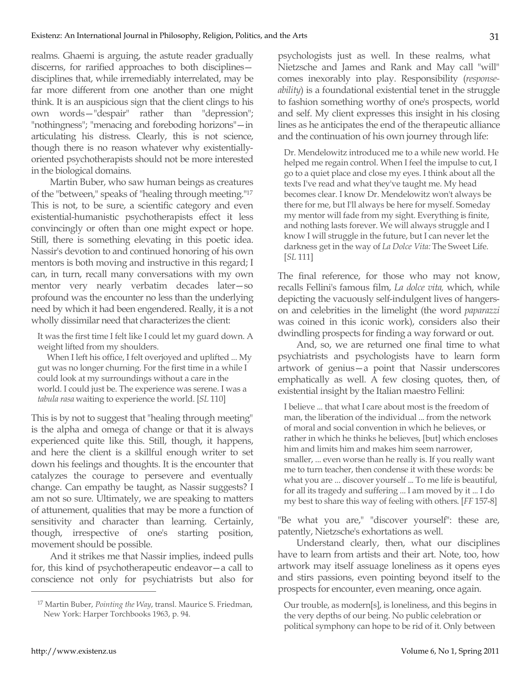realms. Ghaemi is arguing, the astute reader gradually discerns, for rarified approaches to both disciplines disciplines that, while irremediably interrelated, may be far more different from one another than one might think. It is an auspicious sign that the client clings to his own words—"despair" rather than "depression"; "nothingness"; "menacing and foreboding horizons"—in articulating his distress. Clearly, this is not science, though there is no reason whatever why existentiallyoriented psychotherapists should not be more interested in the biological domains.

Martin Buber, who saw human beings as creatures of the "between," speaks of "healing through meeting."17 This is not, to be sure, a scientific category and even existential-humanistic psychotherapists effect it less convincingly or often than one might expect or hope. Still, there is something elevating in this poetic idea. Nassir's devotion to and continued honoring of his own mentors is both moving and instructive in this regard; I can, in turn, recall many conversations with my own mentor very nearly verbatim decades later—so profound was the encounter no less than the underlying need by which it had been engendered. Really, it is a not wholly dissimilar need that characterizes the client:

It was the first time I felt like I could let my guard down. A weight lifted from my shoulders.

When I left his office, I felt overjoyed and uplifted ... My gut was no longer churning. For the first time in a while I could look at my surroundings without a care in the world. I could just be. The experience was serene. I was a *tabula rasa* waiting to experience the world. [*SL* 110]

This is by not to suggest that "healing through meeting" is the alpha and omega of change or that it is always experienced quite like this. Still, though, it happens, and here the client is a skillful enough writer to set down his feelings and thoughts. It is the encounter that catalyzes the courage to persevere and eventually change. Can empathy be taught, as Nassir suggests? I am not so sure. Ultimately, we are speaking to matters of attunement, qualities that may be more a function of sensitivity and character than learning. Certainly, though, irrespective of one's starting position, movement should be possible.

And it strikes me that Nassir implies, indeed pulls for, this kind of psychotherapeutic endeavor—a call to conscience not only for psychiatrists but also for psychologists just as well. In these realms, what Nietzsche and James and Rank and May call "will" comes inexorably into play. Responsibility (*responseability*) is a foundational existential tenet in the struggle to fashion something worthy of one's prospects, world and self. My client expresses this insight in his closing lines as he anticipates the end of the therapeutic alliance and the continuation of his own journey through life:

Dr. Mendelowitz introduced me to a while new world. He helped me regain control. When I feel the impulse to cut, I go to a quiet place and close my eyes. I think about all the texts I've read and what they've taught me. My head becomes clear. I know Dr. Mendelowitz won't always be there for me, but I'll always be here for myself. Someday my mentor will fade from my sight. Everything is finite, and nothing lasts forever. We will always struggle and I know I will struggle in the future, but I can never let the darkness get in the way of *La Dolce Vita:* The Sweet Life. [*SL* 111]

The final reference, for those who may not know, recalls Fellini's famous film, *La dolce vita,* which, while depicting the vacuously self-indulgent lives of hangerson and celebrities in the limelight (the word *paparazzi*  was coined in this iconic work), considers also their dwindling prospects for finding a way forward or out.

And, so, we are returned one final time to what psychiatrists and psychologists have to learn form artwork of genius—a point that Nassir underscores emphatically as well. A few closing quotes, then, of existential insight by the Italian maestro Fellini:

I believe ... that what I care about most is the freedom of man, the liberation of the individual ... from the network of moral and social convention in which he believes, or rather in which he thinks he believes, [but] which encloses him and limits him and makes him seem narrower, smaller, ... even worse than he really is. If you really want me to turn teacher, then condense it with these words: be what you are ... discover yourself ... To me life is beautiful, for all its tragedy and suffering ... I am moved by it ... I do my best to share this way of feeling with others. [*FF* 157-8]

"Be what you are," "discover yourself": these are, patently, Nietzsche's exhortations as well.

Understand clearly, then, what our disciplines have to learn from artists and their art. Note, too, how artwork may itself assuage loneliness as it opens eyes and stirs passions, even pointing beyond itself to the prospects for encounter, even meaning, once again.

Our trouble, as modern[s], is loneliness, and this begins in the very depths of our being. No public celebration or political symphony can hope to be rid of it. Only between

<sup>17</sup> Martin Buber, *Pointing the Way*, transl. Maurice S. Friedman, New York: Harper Torchbooks 1963, p. 94.